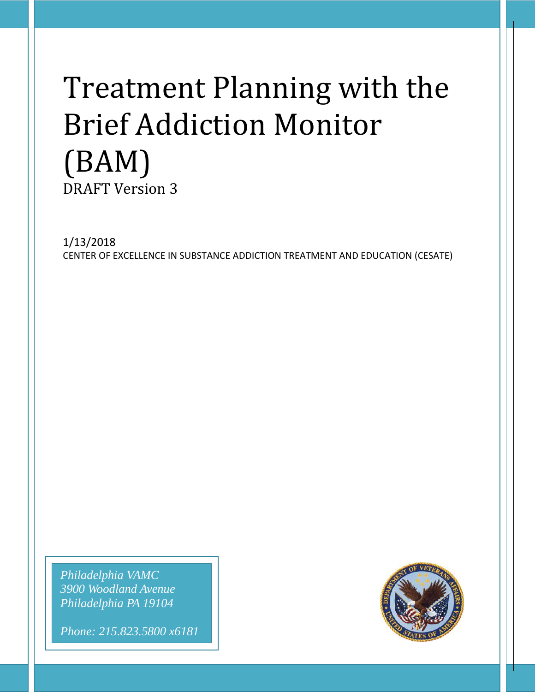# Treatment Planning with the Brief Addiction Monitor (BAM) DRAFT Version 3

1/13/2018 CENTER OF EXCELLENCE IN SUBSTANCE ADDICTION TREATMENT AND EDUCATION (CESATE)

*Philadelphia VAMC 3900 Woodland Avenue Philadelphia PA 19104*

*Phone: 215.823.5800 x6181*

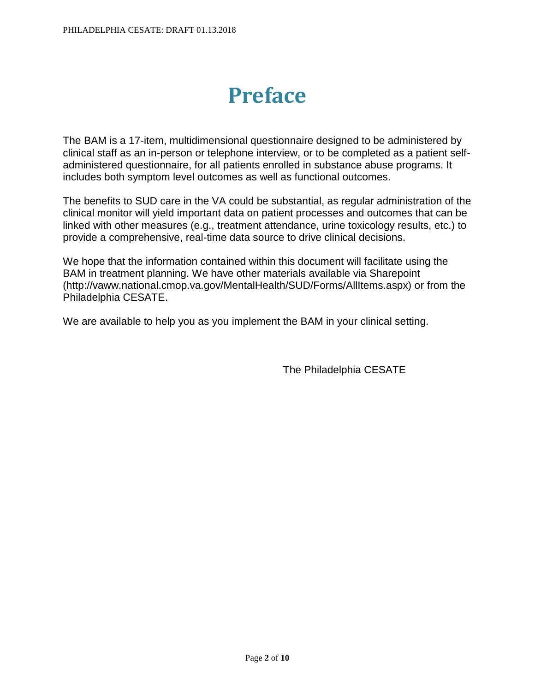# **Preface**

The BAM is a 17-item, multidimensional questionnaire designed to be administered by clinical staff as an in-person or telephone interview, or to be completed as a patient selfadministered questionnaire, for all patients enrolled in substance abuse programs. It includes both symptom level outcomes as well as functional outcomes.

The benefits to SUD care in the VA could be substantial, as regular administration of the clinical monitor will yield important data on patient processes and outcomes that can be linked with other measures (e.g., treatment attendance, urine toxicology results, etc.) to provide a comprehensive, real-time data source to drive clinical decisions.

We hope that the information contained within this document will facilitate using the BAM in treatment planning. We have other materials available via Sharepoint (http://vaww.national.cmop.va.gov/MentalHealth/SUD/Forms/AllItems.aspx) or from the Philadelphia CESATE.

We are available to help you as you implement the BAM in your clinical setting.

The Philadelphia CESATE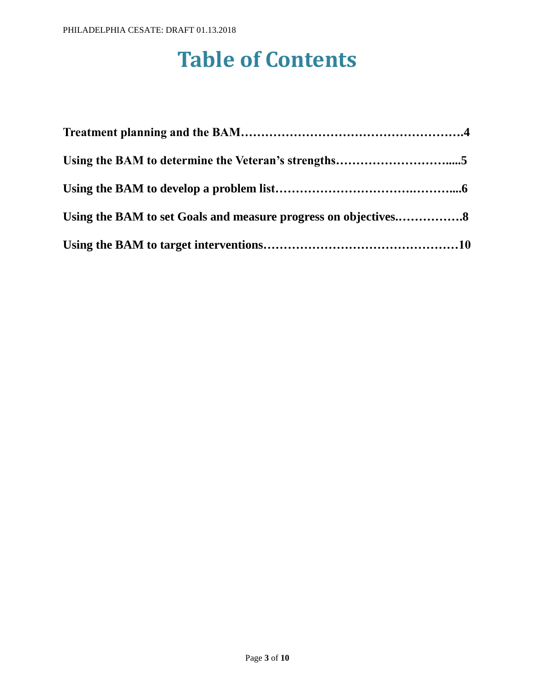# **Table of Contents**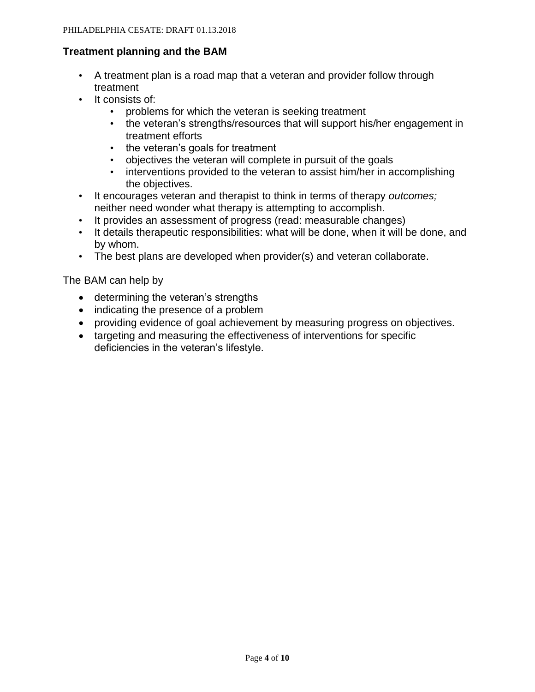#### **Treatment planning and the BAM**

- A treatment plan is a road map that a veteran and provider follow through treatment
- It consists of:
	- problems for which the veteran is seeking treatment
	- the veteran's strengths/resources that will support his/her engagement in treatment efforts
	- the veteran's goals for treatment
	- objectives the veteran will complete in pursuit of the goals
	- interventions provided to the veteran to assist him/her in accomplishing the objectives.
- It encourages veteran and therapist to think in terms of therapy *outcomes;*  neither need wonder what therapy is attempting to accomplish.
- It provides an assessment of progress (read: measurable changes)
- It details therapeutic responsibilities: what will be done, when it will be done, and by whom.
- The best plans are developed when provider(s) and veteran collaborate.

The BAM can help by

- determining the veteran's strengths
- indicating the presence of a problem
- providing evidence of goal achievement by measuring progress on objectives.
- targeting and measuring the effectiveness of interventions for specific deficiencies in the veteran's lifestyle.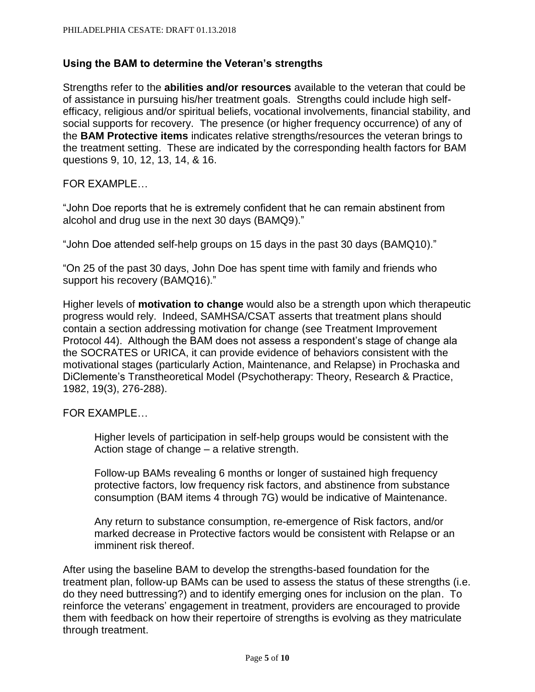### **Using the BAM to determine the Veteran's strengths**

Strengths refer to the **abilities and/or resources** available to the veteran that could be of assistance in pursuing his/her treatment goals. Strengths could include high selfefficacy, religious and/or spiritual beliefs, vocational involvements, financial stability, and social supports for recovery. The presence (or higher frequency occurrence) of any of the **BAM Protective items** indicates relative strengths/resources the veteran brings to the treatment setting. These are indicated by the corresponding health factors for BAM questions 9, 10, 12, 13, 14, & 16.

FOR EXAMPLE…

"John Doe reports that he is extremely confident that he can remain abstinent from alcohol and drug use in the next 30 days (BAMQ9)."

"John Doe attended self-help groups on 15 days in the past 30 days (BAMQ10)."

"On 25 of the past 30 days, John Doe has spent time with family and friends who support his recovery (BAMQ16)."

Higher levels of **motivation to change** would also be a strength upon which therapeutic progress would rely. Indeed, SAMHSA/CSAT asserts that treatment plans should contain a section addressing motivation for change (see Treatment Improvement Protocol 44). Although the BAM does not assess a respondent's stage of change ala the SOCRATES or URICA, it can provide evidence of behaviors consistent with the motivational stages (particularly Action, Maintenance, and Relapse) in Prochaska and DiClemente's Transtheoretical Model (Psychotherapy: Theory, Research & Practice, 1982, 19(3), 276-288).

FOR EXAMPLE…

Higher levels of participation in self-help groups would be consistent with the Action stage of change – a relative strength.

Follow-up BAMs revealing 6 months or longer of sustained high frequency protective factors, low frequency risk factors, and abstinence from substance consumption (BAM items 4 through 7G) would be indicative of Maintenance.

Any return to substance consumption, re-emergence of Risk factors, and/or marked decrease in Protective factors would be consistent with Relapse or an imminent risk thereof.

After using the baseline BAM to develop the strengths-based foundation for the treatment plan, follow-up BAMs can be used to assess the status of these strengths (i.e. do they need buttressing?) and to identify emerging ones for inclusion on the plan. To reinforce the veterans' engagement in treatment, providers are encouraged to provide them with feedback on how their repertoire of strengths is evolving as they matriculate through treatment.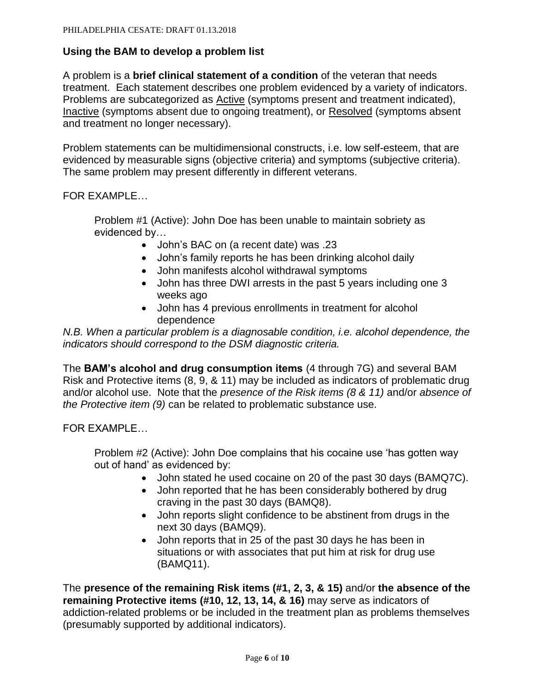#### **Using the BAM to develop a problem list**

A problem is a **brief clinical statement of a condition** of the veteran that needs treatment. Each statement describes one problem evidenced by a variety of indicators. Problems are subcategorized as Active (symptoms present and treatment indicated), Inactive (symptoms absent due to ongoing treatment), or Resolved (symptoms absent and treatment no longer necessary).

Problem statements can be multidimensional constructs, i.e. low self-esteem, that are evidenced by measurable signs (objective criteria) and symptoms (subjective criteria). The same problem may present differently in different veterans.

FOR EXAMPLE…

Problem #1 (Active): John Doe has been unable to maintain sobriety as evidenced by…

- John's BAC on (a recent date) was .23
- John's family reports he has been drinking alcohol daily
- John manifests alcohol withdrawal symptoms
- John has three DWI arrests in the past 5 years including one 3 weeks ago
- John has 4 previous enrollments in treatment for alcohol dependence

*N.B. When a particular problem is a diagnosable condition, i.e. alcohol dependence, the indicators should correspond to the DSM diagnostic criteria.*

The **BAM's alcohol and drug consumption items** (4 through 7G) and several BAM Risk and Protective items (8, 9, & 11) may be included as indicators of problematic drug and/or alcohol use. Note that the *presence of the Risk items (8 & 11)* and/or *absence of the Protective item (9)* can be related to problematic substance use.

FOR EXAMPLE…

Problem #2 (Active): John Doe complains that his cocaine use 'has gotten way out of hand' as evidenced by:

- John stated he used cocaine on 20 of the past 30 days (BAMQ7C).
- John reported that he has been considerably bothered by drug craving in the past 30 days (BAMQ8).
- John reports slight confidence to be abstinent from drugs in the next 30 days (BAMQ9).
- John reports that in 25 of the past 30 days he has been in situations or with associates that put him at risk for drug use (BAMQ11).

The **presence of the remaining Risk items (#1, 2, 3, & 15)** and/or **the absence of the remaining Protective items (#10, 12, 13, 14, & 16)** may serve as indicators of addiction-related problems or be included in the treatment plan as problems themselves (presumably supported by additional indicators).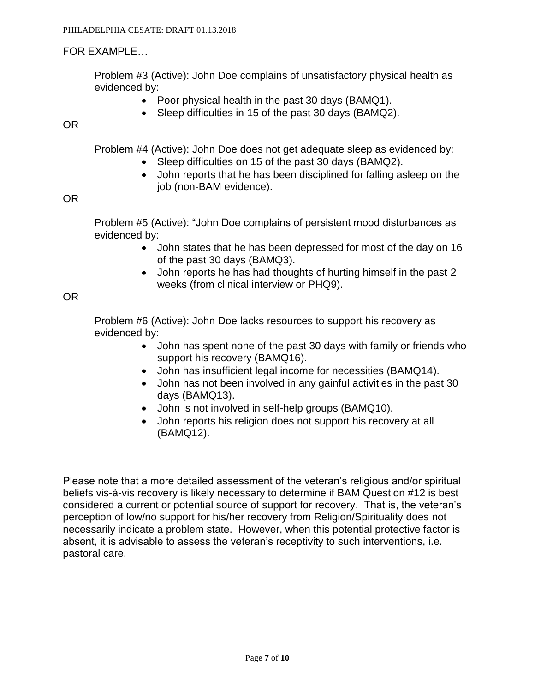# FOR EXAMPLE…

Problem #3 (Active): John Doe complains of unsatisfactory physical health as evidenced by:

- Poor physical health in the past 30 days (BAMQ1).
- Sleep difficulties in 15 of the past 30 days (BAMQ2).

OR

Problem #4 (Active): John Doe does not get adequate sleep as evidenced by:

- Sleep difficulties on 15 of the past 30 days (BAMQ2).
- John reports that he has been disciplined for falling asleep on the job (non-BAM evidence).

### OR

Problem #5 (Active): "John Doe complains of persistent mood disturbances as evidenced by:

- John states that he has been depressed for most of the day on 16 of the past 30 days (BAMQ3).
- John reports he has had thoughts of hurting himself in the past 2 weeks (from clinical interview or PHQ9).

# OR

Problem #6 (Active): John Doe lacks resources to support his recovery as evidenced by:

- John has spent none of the past 30 days with family or friends who support his recovery (BAMQ16).
- John has insufficient legal income for necessities (BAMQ14).
- John has not been involved in any gainful activities in the past 30 days (BAMQ13).
- John is not involved in self-help groups (BAMQ10).
- John reports his religion does not support his recovery at all (BAMQ12).

Please note that a more detailed assessment of the veteran's religious and/or spiritual beliefs vis-à-vis recovery is likely necessary to determine if BAM Question #12 is best considered a current or potential source of support for recovery. That is, the veteran's perception of low/no support for his/her recovery from Religion/Spirituality does not necessarily indicate a problem state. However, when this potential protective factor is absent, it is advisable to assess the veteran's receptivity to such interventions, i.e. pastoral care.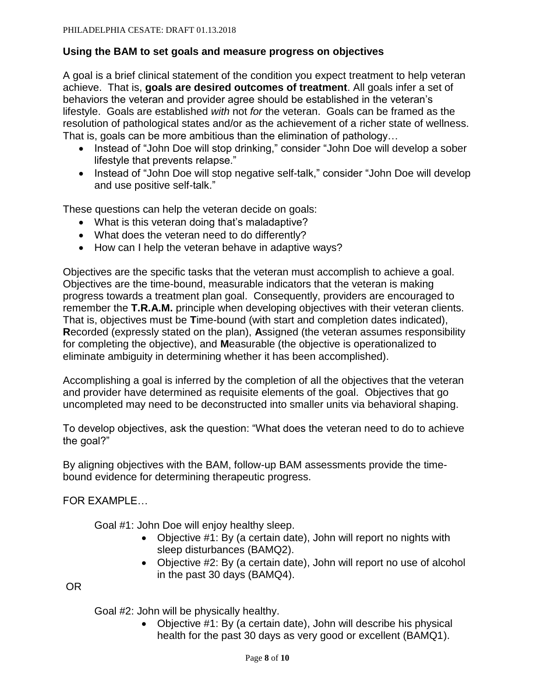### **Using the BAM to set goals and measure progress on objectives**

A goal is a brief clinical statement of the condition you expect treatment to help veteran achieve. That is, **goals are desired outcomes of treatment**. All goals infer a set of behaviors the veteran and provider agree should be established in the veteran's lifestyle. Goals are established *with* not *for* the veteran. Goals can be framed as the resolution of pathological states and/or as the achievement of a richer state of wellness. That is, goals can be more ambitious than the elimination of pathology…

- Instead of "John Doe will stop drinking," consider "John Doe will develop a sober lifestyle that prevents relapse."
- Instead of "John Doe will stop negative self-talk," consider "John Doe will develop and use positive self-talk."

These questions can help the veteran decide on goals:

- What is this veteran doing that's maladaptive?
- What does the veteran need to do differently?
- How can I help the veteran behave in adaptive ways?

Objectives are the specific tasks that the veteran must accomplish to achieve a goal. Objectives are the time-bound, measurable indicators that the veteran is making progress towards a treatment plan goal. Consequently, providers are encouraged to remember the **T.R.A.M.** principle when developing objectives with their veteran clients. That is, objectives must be **T**ime-bound (with start and completion dates indicated), **R**ecorded (expressly stated on the plan), **A**ssigned (the veteran assumes responsibility for completing the objective), and **M**easurable (the objective is operationalized to eliminate ambiguity in determining whether it has been accomplished).

Accomplishing a goal is inferred by the completion of all the objectives that the veteran and provider have determined as requisite elements of the goal. Objectives that go uncompleted may need to be deconstructed into smaller units via behavioral shaping.

To develop objectives, ask the question: "What does the veteran need to do to achieve the goal?"

By aligning objectives with the BAM, follow-up BAM assessments provide the timebound evidence for determining therapeutic progress.

FOR EXAMPLE…

Goal #1: John Doe will enjoy healthy sleep.

- Objective #1: By (a certain date), John will report no nights with sleep disturbances (BAMQ2).
- Objective #2: By (a certain date), John will report no use of alcohol in the past 30 days (BAMQ4).

OR

Goal #2: John will be physically healthy.

• Objective #1: By (a certain date), John will describe his physical health for the past 30 days as very good or excellent (BAMQ1).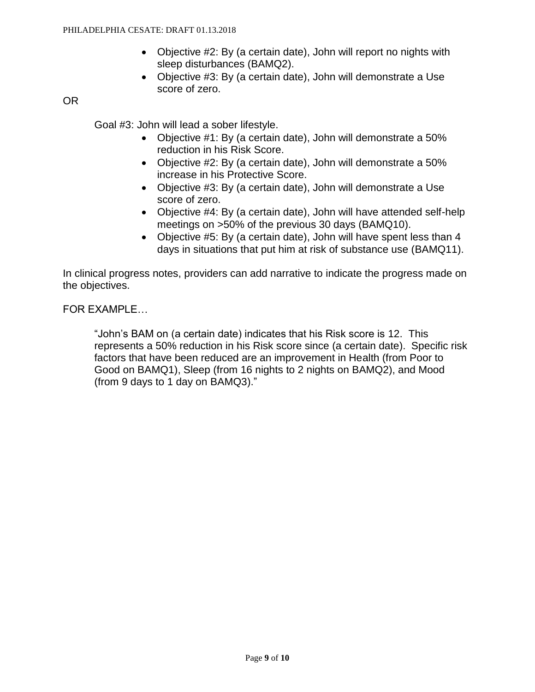- Objective #2: By (a certain date), John will report no nights with sleep disturbances (BAMQ2).
- Objective #3: By (a certain date), John will demonstrate a Use score of zero.

OR

Goal #3: John will lead a sober lifestyle.

- Objective #1: By (a certain date), John will demonstrate a 50% reduction in his Risk Score.
- Objective #2: By (a certain date), John will demonstrate a 50% increase in his Protective Score.
- Objective #3: By (a certain date), John will demonstrate a Use score of zero.
- Objective #4: By (a certain date), John will have attended self-help meetings on >50% of the previous 30 days (BAMQ10).
- Objective #5: By (a certain date), John will have spent less than 4 days in situations that put him at risk of substance use (BAMQ11).

In clinical progress notes, providers can add narrative to indicate the progress made on the objectives.

FOR EXAMPLE…

"John's BAM on (a certain date) indicates that his Risk score is 12. This represents a 50% reduction in his Risk score since (a certain date). Specific risk factors that have been reduced are an improvement in Health (from Poor to Good on BAMQ1), Sleep (from 16 nights to 2 nights on BAMQ2), and Mood (from 9 days to 1 day on BAMQ3)."